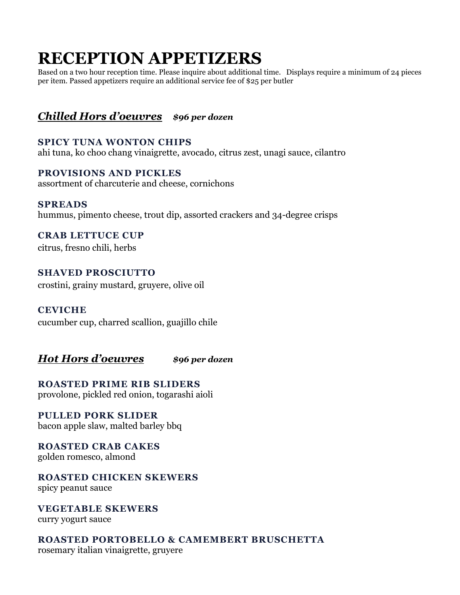## **RECEPTION APPETIZERS**

Based on a two hour reception time. Please inquire about additional time. Displays require a minimum of 24 pieces per item. Passed appetizers require an additional service fee of \$25 per butler

## *Chilled Hors d'oeuvres \$96 per dozen*

**SPICY TUNA WONTON CHIPS** ahi tuna, ko choo chang vinaigrette, avocado, citrus zest, unagi sauce, cilantro

**PROVISIONS AND PICKLES** assortment of charcuterie and cheese, cornichons

**SPREADS**  hummus, pimento cheese, trout dip, assorted crackers and 34-degree crisps

**CRAB LETTUCE CUP** citrus, fresno chili, herbs

**SHAVED PROSCIUTTO**  crostini, grainy mustard, gruyere, olive oil

**CEVICHE**

cucumber cup, charred scallion, guajillo chile

*Hot Hors d'oeuvres \$96 per dozen*

**ROASTED PRIME RIB SLIDERS**  provolone, pickled red onion, togarashi aioli

**PULLED PORK SLIDER** bacon apple slaw, malted barley bbq

**ROASTED CRAB CAKES**  golden romesco, almond

**ROASTED CHICKEN SKEWERS**  spicy peanut sauce

**VEGETABLE SKEWERS**  curry yogurt sauce

**ROASTED PORTOBELLO & CAMEMBERT BRUSCHETTA** rosemary italian vinaigrette, gruyere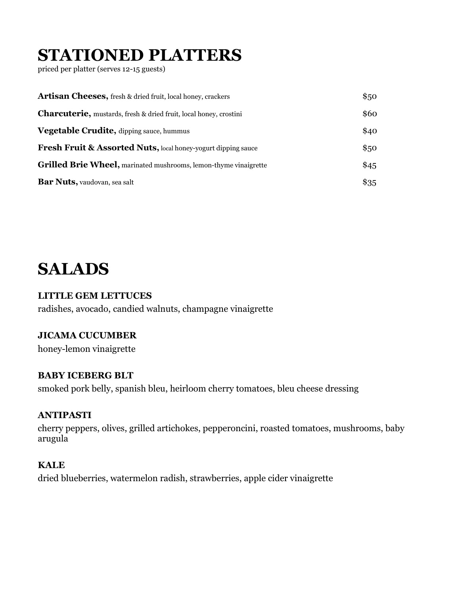# **STATIONED PLATTERS**

priced per platter (serves 12-15 guests)

| <b>Artisan Cheeses,</b> fresh & dried fruit, local honey, crackers        | \$50   |
|---------------------------------------------------------------------------|--------|
| <b>Charcuterie</b> , mustards, fresh & dried fruit, local honey, crostini | \$60   |
| Vegetable Crudite, dipping sauce, hummus                                  | \$40   |
| <b>Fresh Fruit &amp; Assorted Nuts, local honey-yogurt dipping sauce</b>  | \$50   |
| Grilled Brie Wheel, marinated mushrooms, lemon-thyme vinaigrette          | \$45   |
| <b>Bar Nuts, vaudovan, sea salt</b>                                       | $\$35$ |

# **SALADS**

#### **LITTLE GEM LETTUCES**

radishes, avocado, candied walnuts, champagne vinaigrette

#### **JICAMA CUCUMBER**

honey-lemon vinaigrette

#### **BABY ICEBERG BLT**

smoked pork belly, spanish bleu, heirloom cherry tomatoes, bleu cheese dressing

#### **ANTIPASTI**

cherry peppers, olives, grilled artichokes, pepperoncini, roasted tomatoes, mushrooms, baby arugula

#### **KALE**

dried blueberries, watermelon radish, strawberries, apple cider vinaigrette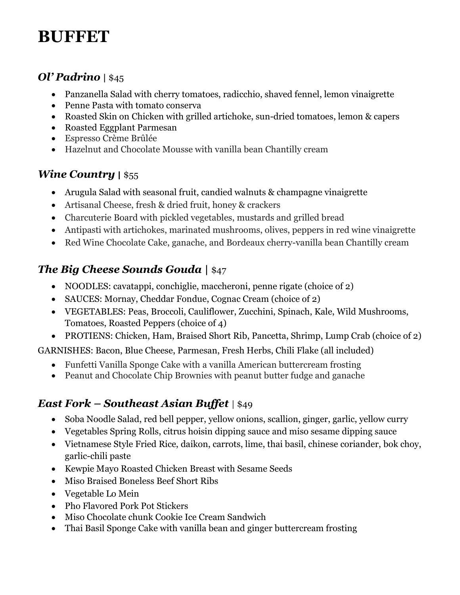# **BUFFET**

## *Ol' Padrino |* \$45

- Panzanella Salad with cherry tomatoes, radicchio, shaved fennel, lemon vinaigrette
- Penne Pasta with tomato conserva
- Roasted Skin on Chicken with grilled artichoke, sun-dried tomatoes, lemon & capers
- Roasted Eggplant Parmesan
- Espresso Crème Brûlée
- Hazelnut and Chocolate Mousse with vanilla bean Chantilly cream

## *Wine Country* **|** \$55

- Arugula Salad with seasonal fruit, candied walnuts & champagne vinaigrette
- Artisanal Cheese, fresh & dried fruit, honey & crackers
- Charcuterie Board with pickled vegetables, mustards and grilled bread
- Antipasti with artichokes, marinated mushrooms, olives, peppers in red wine vinaigrette
- Red Wine Chocolate Cake, ganache, and Bordeaux cherry-vanilla bean Chantilly cream

## *The Big Cheese Sounds Gouda* | \$47

- NOODLES: cavatappi, conchiglie, maccheroni, penne rigate (choice of 2)
- SAUCES: Mornay, Cheddar Fondue, Cognac Cream (choice of 2)
- VEGETABLES: Peas, Broccoli, Cauliflower, Zucchini, Spinach, Kale, Wild Mushrooms, Tomatoes, Roasted Peppers (choice of 4)
- PROTIENS: Chicken, Ham, Braised Short Rib, Pancetta, Shrimp, Lump Crab (choice of 2)

GARNISHES: Bacon, Blue Cheese, Parmesan, Fresh Herbs, Chili Flake (all included)

- Funfetti Vanilla Sponge Cake with a vanilla American buttercream frosting
- Peanut and Chocolate Chip Brownies with peanut butter fudge and ganache

## *East Fork – Southeast Asian Buffet* | \$49

- Soba Noodle Salad, red bell pepper, yellow onions, scallion, ginger, garlic, yellow curry
- Vegetables Spring Rolls, citrus hoisin dipping sauce and miso sesame dipping sauce
- Vietnamese Style Fried Rice, daikon, carrots, lime, thai basil, chinese coriander, bok choy, garlic-chili paste
- Kewpie Mayo Roasted Chicken Breast with Sesame Seeds
- Miso Braised Boneless Beef Short Ribs
- Vegetable Lo Mein
- Pho Flavored Pork Pot Stickers
- Miso Chocolate chunk Cookie Ice Cream Sandwich
- Thai Basil Sponge Cake with vanilla bean and ginger buttercream frosting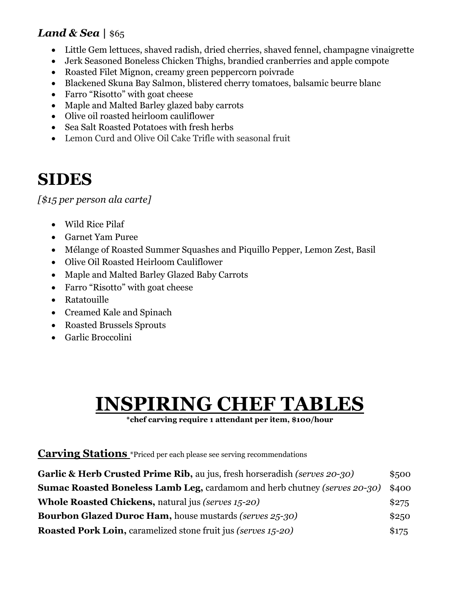## *Land & Sea* | \$65

- Little Gem lettuces, shaved radish, dried cherries, shaved fennel, champagne vinaigrette
- Jerk Seasoned Boneless Chicken Thighs, brandied cranberries and apple compote
- Roasted Filet Mignon, creamy green peppercorn poivrade
- Blackened Skuna Bay Salmon, blistered cherry tomatoes, balsamic beurre blanc
- Farro "Risotto" with goat cheese
- Maple and Malted Barley glazed baby carrots
- Olive oil roasted heirloom cauliflower
- Sea Salt Roasted Potatoes with fresh herbs
- Lemon Curd and Olive Oil Cake Trifle with seasonal fruit

# **SIDES**

*[\$15 per person ala carte]*

- Wild Rice Pilaf
- Garnet Yam Puree
- Mélange of Roasted Summer Squashes and Piquillo Pepper, Lemon Zest, Basil
- Olive Oil Roasted Heirloom Cauliflower
- Maple and Malted Barley Glazed Baby Carrots
- Farro "Risotto" with goat cheese
- Ratatouille
- Creamed Kale and Spinach
- Roasted Brussels Sprouts
- Garlic Broccolini

# **INSPIRING CHEF TABLES**

**\*chef carving require 1 attendant per item, \$100/hour**

## **Carving Stations** \*Priced per each please see serving recommendations

| Garlic & Herb Crusted Prime Rib, au jus, fresh horseradish (serves 20-30)        | \$500 |
|----------------------------------------------------------------------------------|-------|
| <b>Sumac Roasted Boneless Lamb Leg, cardamom and herb chutney (serves 20-30)</b> | \$400 |
| <b>Whole Roasted Chickens, natural jus (serves 15-20)</b>                        | \$275 |
| <b>Bourbon Glazed Duroc Ham, house mustards (serves 25-30)</b>                   | \$250 |
| <b>Roasted Pork Loin, caramelized stone fruit jus (serves 15-20)</b>             | \$175 |